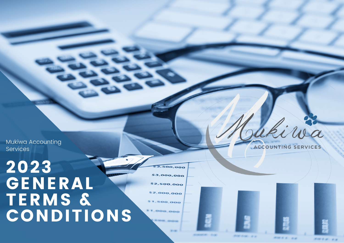Mukiwa Accounting **Services** 

# 2023 GENERAL TERMS & **CONDITIONS**

3,500,000 \$3,000,000 \$2,500,000 2,000,000 500,000 **Kingledo** 

**ALCOHOL:** 

ACCOUNTING SERVICES

 $\mu a$ 

**Acceleration** 

**FOR A R. R.A.** 

**STORY AT AN**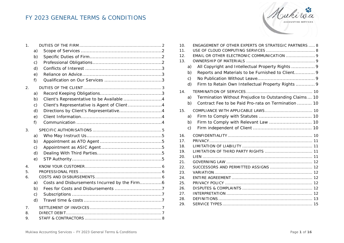## FY 2023 GENERAL TERMS & CONDITIONS

| 1.             |                |                                             |  |
|----------------|----------------|---------------------------------------------|--|
|                | a)             |                                             |  |
|                | b)             |                                             |  |
|                | $\mathsf{C}$ ) |                                             |  |
|                | d)             |                                             |  |
|                | e)             |                                             |  |
|                | f)             |                                             |  |
| 2.             |                |                                             |  |
|                | a)             |                                             |  |
|                | b)             | Client's Representative to be Available 4   |  |
|                | $\mathsf{C}$ ) | Client's Representative is Agent of Client4 |  |
|                | d)             |                                             |  |
|                | e)             |                                             |  |
|                | f)             |                                             |  |
| 3.             |                |                                             |  |
|                | a)             |                                             |  |
|                | b)             |                                             |  |
|                | $\mathsf{C}$ ) |                                             |  |
|                | d)             |                                             |  |
|                | e)             |                                             |  |
| $\mathbf{4}$ . |                |                                             |  |
| 5.             |                |                                             |  |
| 6.             |                |                                             |  |
|                | a)             |                                             |  |
|                | b)             |                                             |  |
|                | $\mathsf{C}$ ) |                                             |  |
|                | d)             |                                             |  |
| 7.             |                |                                             |  |
| 8.             |                |                                             |  |
| 9.             |                |                                             |  |

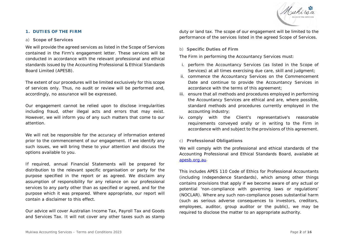### <span id="page-2-0"></span>**1. DUTIES OF THE FIRM**

#### <span id="page-2-1"></span>a) **Scope of Services**

We will provide the agreed services as listed in the Scope of Services contained in the Firm's engagement letter. These services will be conducted in accordance with the relevant professional and ethical standards issued by the Accounting Professional & Ethical Standards Board Limited (APESB).

The extent of our procedures will be limited exclusively for this scope of services only. Thus, no audit or review will be performed and, accordingly, no assurance will be expressed.

Our engagement cannot be relied upon to disclose irregularities including fraud, other illegal acts and errors that may exist. However, we will inform you of any such matters that come to our attention.

We will not be responsible for the accuracy of information entered prior to the commencement of our engagement. If we identify any such issues, we will bring these to your attention and discuss the options available to you.

If required, annual Financial Statements will be prepared for distribution to the relevant specific organisation or party for the purpose specified in the report or as agreed. We disclaim any assumption of responsibility for any reliance on our professional services to any party other than as specified or agreed, and for the purpose which it was prepared. Where appropriate, our report will contain a disclaimer to this effect.

Our advice will cover Australian Income Tax, Payroll Tax and Goods and Services Tax. It will not cover any other taxes such as stamp duty or land tax. The scope of our engagement will be limited to the performance of the services listed in the agreed Scope of Services.

#### <span id="page-2-2"></span>b) **Specific Duties of Firm**

The Firm in performing the Accountancy Services must:

- i. perform the Accountancy Services (as listed in the Scope of Services) at all times exercising due care, skill and judgment;
- ii. commence the Accountancy Services on the Commencement Date and continue to provide the Accountancy Services in accordance with the terms of this agreement;
- iii. ensure that all methods and procedures employed in performing the Accountancy Services are ethical and are, where possible, standard methods and procedures currently employed in the accounting industry;
- iv. comply with the Client's representative's reasonable requirements conveyed orally or in writing to the Firm in accordance with and subject to the provisions of this agreement.

<span id="page-2-3"></span>c) **Professional Obligations**

We will comply with the professional and ethical standards of the Accounting Professional and Ethical Standards Board, available at [apesb.org.au.](https://apesb.org.au/)

This includes APES 110 Code of Ethics for Professional Accountants (including Independence Standards), which among other things contains provisions that apply if we become aware of any actual or potential 'non-compliance with governing laws or regulations' (NOCLAR). Where any such non-compliance poses substantial harm (such as serious adverse consequences to investors, creditors, employees, auditor, group auditor or the public), we may be required to disclose the matter to an appropriate authority.

Mukiwi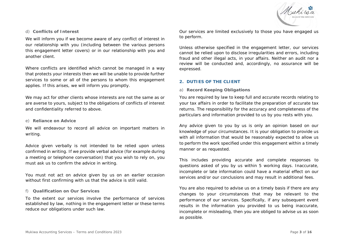## <span id="page-3-0"></span>d) **Conflicts of Interest**

We will inform you if we become aware of any conflict of interest in our relationship with you (including between the various persons this engagement letter covers) or in our relationship with you and another client.

Where conflicts are identified which cannot be managed in a way that protects your interests then we will be unable to provide further services to some or all of the persons to whom this engagement applies. If this arises, we will inform you promptly.

We may act for other clients whose interests are not the same as or are averse to yours, subject to the obligations of conflicts of interest and confidentiality referred to above.

#### <span id="page-3-1"></span>e) **Reliance on Advice**

We will endeavour to record all advice on important matters in writing.

Advice given verbally is not intended to be relied upon unless confirmed in writing. If we provide verbal advice (for example during a meeting or telephone conversation) that you wish to rely on, you must ask us to confirm the advice in writing.

You must not act on advice given by us on an earlier occasion without first confirming with us that the advice is still valid.

## <span id="page-3-2"></span>f) **Qualification on Our Services**

To the extent our services involve the performance of services established by law, nothing in the engagement letter or these terms reduce our obligations under such law.

Our services are limited exclusively to those you have engaged us to perform.

Unless otherwise specified in the engagement letter, our services cannot be relied upon to disclose irregularities and errors, including fraud and other illegal acts, in your affairs. Neither an audit nor a review will be conducted and, accordingly, no assurance will be expressed.

## <span id="page-3-3"></span>**2. DUTIES OF THE CLIENT**

#### <span id="page-3-4"></span>a) **Record Keeping Obligations**

You are required by law to keep full and accurate records relating to your tax affairs in order to facilitate the preparation of accurate tax returns. The responsibility for the accuracy and completeness of the particulars and information provided to us by you rests with you.

Any advice given to you by us is only an opinion based on our knowledge of your circumstances. It is your obligation to provide us with all information that would be reasonably expected to allow us to perform the work specified under this engagement within a timely manner or as requested.

This includes providing accurate and complete responses to questions asked of you by us within 5 working days. Inaccurate, incomplete or late information could have a material effect on our services and/or our conclusions and may result in additional fees.

You are also required to advise us on a timely basis if there are any changes to your circumstances that may be relevant to the performance of our services. Specifically, if any subsequent event results in the information you provided to us being inaccurate, incomplete or misleading, then you are obliged to advise us as soon as possible.

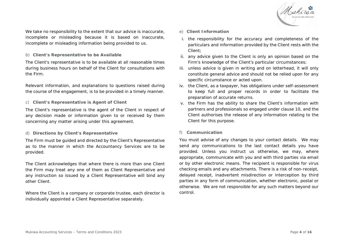

We take no responsibility to the extent that our advice is inaccurate, incomplete or misleading because it is based on inaccurate, incomplete or misleading information being provided to us.

<span id="page-4-0"></span>b) **Client's Representative to be Available**

The Client's representative is to be available at all reasonable times during business hours on behalf of the Client for consultations with the Firm.

Relevant information, and explanations to questions raised during the course of the engagement, is to be provided in a timely manner.

<span id="page-4-1"></span>c) **Client's Representative is Agent of Client**

The Client's representative is the agent of the Client in respect of any decision made or information given to or received by them concerning any matter arising under this agreement.

<span id="page-4-2"></span>d) **Directions by Client's Representative**

The Firm must be guided and directed by the Client's Representative as to the manner in which the Accountancy Services are to be provided.

The Client acknowledges that where there is more than one Client the Firm may treat any one of them as Client Representative and any instruction so issued by a Client Representative will bind any other Client.

Where the Client is a company or corporate trustee, each director is individually appointed a Client Representative separately.

- <span id="page-4-3"></span>e) **Client Information**
- i. the responsibility for the accuracy and completeness of the particulars and information provided by the Client rests with the Client;
- ii. any advice given to the Client is only an opinion based on the Firm's knowledge of the Client's particular circumstances;
- iii. unless advice is given in writing and on letterhead, it will only constitute general advice and should not be relied upon for any specific circumstance or acted upon.
- iv. the Client, as a taxpayer, has obligations under self-assessment to keep full and proper records in order to facilitate the preparation of accurate returns.
- v. the Firm has the ability to share the Client's information with partners and professionals so engaged under clause 10, and the Client authorises the release of any information relating to the Client for this purpose.

#### <span id="page-4-4"></span>f) **Communication**

You must advise of any changes to your contact details. We may send any communications to the last contact details you have provided. Unless you instruct us otherwise, we may, where appropriate, communicate with you and with third parties via email or by other electronic means. The recipient is responsible for virus checking emails and any attachments. There is a risk of non-receipt, delayed receipt, inadvertent misdirection or interception by third parties in any form of communication, whether electronic, postal or otherwise. We are not responsible for any such matters beyond our control.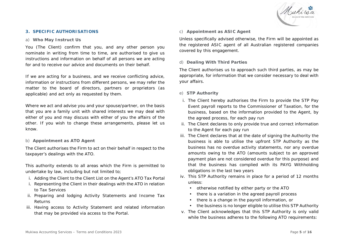## <span id="page-5-0"></span>**3. SPECIFIC AUTHORISATIONS**

#### <span id="page-5-1"></span>a) **Who May Instruct Us**

You (The Client) confirm that you, and any other person you nominate in writing from time to time, are authorised to give us instructions and information on behalf of all persons we are acting for and to receive our advice and documents on their behalf.

If we are acting for a business, and we receive conflicting advice, information or instructions from different persons, we may refer the matter to the board of directors, partners or proprietors (as applicable) and act only as requested by them.

Where we act and advise you and your spouse/partner, on the basis that you are a family unit with shared interests we may deal with either of you and may discuss with either of you the affairs of the other. If you wish to change these arrangements, please let us know.

<span id="page-5-2"></span>b) **Appointment as ATO Agent**

The Client authorises the Firm to act on their behalf in respect to the taxpayer's dealings with the ATO.

This authority extends to all areas which the Firm is permitted to undertake by law, including but not limited to;

- i. Adding the Client to the Client List on the Agent's ATO Tax Portal
- i. Representing the Client in their dealings with the ATO in relation to Tax Services
- ii. Preparing and lodging Activity Statements and Income Tax Returns
- iii. Having access to Activity Statement and related information that may be provided via access to the Portal.



#### <span id="page-5-3"></span>c) **Appointment as ASIC Agent**

Unless specifically advised otherwise, the Firm will be appointed as the registered ASIC agent of all Australian registered companies covered by this engagement.

#### <span id="page-5-4"></span>d) **Dealing With Third Parties**

The Client authorises us to approach such third parties, as may be appropriate, for information that we consider necessary to deal with your affairs.

#### <span id="page-5-5"></span>e) **STP Authority**

- i. The Client hereby authorises the Firm to provide the STP Pay Event payroll reports to the Commissioner of Taxation, for the business, based on the information provided to the Agent, by the agreed process, for each pay run
- ii. The Client declares to only provide true and correct information to the Agent for each pay run
- iii. The Client declares that at the date of signing the Authority the business is able to utilise the upfront STP Authority as the business has no overdue activity statements, nor any overdue amounts owing to the ATO (amounts subject to an approved payment plan are not considered overdue for this purpose) and that the business has complied with its PAYG Withholding obligations in the last two years
- iv. This STP Authority remains in place for a period of 12 months unless:
	- otherwise notified by either party or the ATO
	- there is a variation in the agreed payroll process
	- there is a change in the payroll information, or
	- the business is no longer eligible to utilise this STP Authority
- v. The Client acknowledges that this STP Authority is only valid while the business adheres to the following ATO requirements: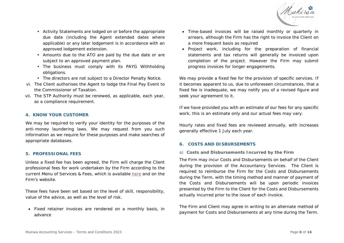- Activity Statements are lodged on or before the appropriate due date (including the Agent extended dates where applicable) or any later lodgement is in accordance with an approved lodgement extension.
- Amounts due to the ATO are paid by the due date or are subject to an approved payment plan.
- The business must comply with its PAYG Withholding obligations.
- The directors are not subject to a Director Penalty Notice.
- vi. The Client authorises the Agent to lodge the Final Pay Event to the Commissioner of Taxation.
- vii. The STP Authority must be renewed, as applicable, each year, as a compliance requirement.

#### <span id="page-6-0"></span>**4. KNOW YOUR CUSTOMER**

We may be required to verify your identity for the purposes of the anti-money laundering laws. We may request from you such information as we require for these purposes and make searches of appropriate databases.

#### <span id="page-6-1"></span>**5. PROFESSIONAL FEES**

Unless a fixed fee has been agreed, the Firm will charge the Client professional fees for work undertaken by the Firm according to the current Menu of Services & Fees, which is available [here](https://www.mukiwa.com.au/app/uploads/Mukiwa-Menu-of-Services-Fees.pdf) and on the Firm's website.

These fees have been set based on the level of skill, responsibility, value of the advice, as well as the level of risk.

• Fixed retainer invoices are rendered on a monthly basis, in advance

- Time-based invoices will be raised monthly or quarterly in arrears, although the Firm has the right to invoice the Client on a more frequent basis as required
- Project work, including for the preparation of financial statements and tax returns will generally be invoiced upon completion of the project. However the Firm may submit progress invoices for longer engagements.

We may provide a fixed fee for the provision of specific services. If it becomes apparent to us, due to unforeseen circumstances, that a fixed fee is inadequate, we may notify you of a revised figure and seek your agreement to it.

If we have provided you with an estimate of our fees for any specific work, this is an estimate only and our actual fees may vary.

Hourly rates and fixed fees are reviewed annually, with increases generally effective 1 July each year.

#### <span id="page-6-2"></span>**6. COSTS AND DISBURSEMENTS**

<span id="page-6-3"></span>a) **Costs and Disbursements Incurred by the Firm**

The Firm may incur Costs and Disbursements on behalf of the Client during the provision of the Accountancy Services. The Client is required to reimburse the Firm for the Costs and Disbursements during the Term, with the timing method and manner of payment of the Costs and Disbursements will be upon periodic invoices presented by the Firm to the Client for the Costs and Disbursements actually incurred prior to the issue of each invoice.

The Firm and Client may agree in writing to an alternate method of payment for Costs and Disbursements at any time during the Term.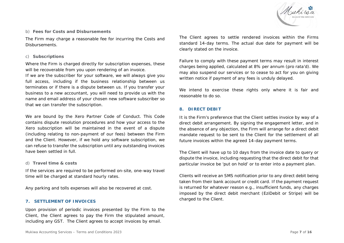

<span id="page-7-0"></span>b) **Fees for Costs and Disbursements**

The Firm may charge a reasonable fee for incurring the Costs and Disbursements.

#### <span id="page-7-1"></span>c) **Subscriptions**

Where the Firm is charged directly for subscription expenses, these will be recoverable from you upon rendering of an invoice.

If we are the subscriber for your software, we will always give you full access, including if the business relationship between us terminates or if there is a dispute between us. If you transfer your business to a new accountant, you will need to provide us with the name and email address of your chosen new software subscriber so that we can transfer the subscription.

We are bound by the Xero Partner Code of Conduct. This Code contains dispute resolution procedures and how your access to the Xero subscription will be maintained in the event of a dispute (including relating to non-payment of our fees) between the Firm and the Client. However, if we hold any software subscription, we can refuse to transfer the subscription until any outstanding invoices have been settled in full.

## <span id="page-7-2"></span>d) **Travel time & costs**

If the services are required to be performed on-site, one-way travel time will be charged at standard hourly rates.

<span id="page-7-3"></span>Any parking and tolls expenses will also be recovered at cost.

## **7. SETTLEMENT OF INVOICES**

Upon provision of periodic invoices presented by the Firm to the Client, the Client agrees to pay the Firm the stipulated amount, including any GST. The Client agrees to accept invoices by email.

The Client agrees to settle rendered invoices within the Firms standard 14-day terms. The actual due date for payment will be clearly stated on the invoice.

Failure to comply with these payment terms may result in interest charges being applied, calculated at 8% per annum (pro rata'd). We may also suspend our services or to cease to act for you on giving written notice if payment of any fees is unduly delayed.

We intend to exercise these rights only where it is fair and reasonable to do so.

## <span id="page-7-4"></span>**8. DIRECT DEBIT**

It is the Firm's preference that the Client settles invoice by way of a direct debit arrangement. By signing the engagement letter, and in the absence of any objection, the Firm will arrange for a direct debit mandate request to be sent to the Client for the settlement of all future invoices within the agreed 14-day payment terms.

The Client will have up to 10 days from the invoice date to query or dispute the invoice, including requesting that the direct debit for that particular invoice be 'put on hold' or to enter into a payment plan.

Clients will receive an SMS notification prior to any direct debit being taken from their bank account or credit card. If the payment request is returned for whatever reason e.g., insufficient funds, any charges imposed by the direct debit merchant (EziDebit or Stripe) will be charged to the Client.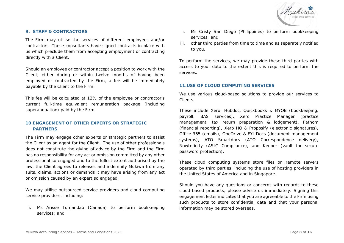#### <span id="page-8-0"></span>**9. STAFF & CONTRACTORS**

The Firm may utilise the services of different employees and/or contractors. These consultants have signed contracts in place with us which preclude them from accepting employment or contracting directly with a Client.

Should an employee or contractor accept a position to work with the Client, either during or within twelve months of having been employed or contracted by the Firm, a fee will be immediately payable by the Client to the Firm.

This fee will be calculated at 12% of the employee or contractor's current full-time equivalent remuneration package (including superannuation) paid by the Firm.

## <span id="page-8-1"></span>**10.ENGAGEMENT OF OTHER EXPERTS OR STRATEGIC PARTNERS**

The Firm may engage other experts or strategic partners to assist the Client as an agent for the Client. The use of other professionals does not constitute the giving of advice by the Firm and the Firm has no responsibility for any act or omission committed by any other professional so engaged and to the fullest extent authorised by the law, the Client agrees to releases and indemnify Mukiwa from any suits, claims, actions or demands it may have arising from any act or omission caused by an expert so engaged.

We may utilise outsourced service providers and cloud computing service providers, including:

i. Ms Arisse Tumandao (Canada) to perform bookkeeping services; and

- ii. Ms Cristy San Diego (Philippines) to perform bookkeeping services; and
- iii. other third parties from time to time and as separately notified to you.

To perform the services, we may provide these third parties with access to your data to the extent this is required to perform the services.

#### <span id="page-8-2"></span>**11.USE OF CLOUD COMPUTING SERVICES**

We use various cloud-based solutions to provide our services to Clients.

These include Xero, Hubdoc, Quickbooks & MYOB (bookkeeping, payroll, BAS services), Xero Practice Manager (practice management, tax return preparation & lodgement), Fathom (financial reporting), Xero HQ & Proposify (electronic signatures), Office 365 (emails), OneDrive & FYI Docs (document management systems), ATO Smartdocs (ATO Correspondence delivery), NowInfinity (ASIC Compliance), and Keeper (vault for secure password protection).

These cloud computing systems store files on remote servers operated by third parties, including the use of hosting providers in the United States of America and in Singapore.

Should you have any questions or concerns with regards to these cloud-based products, please advise us immediately. Signing this engagement letter indicates that you are agreeable to the Firm using such products to store confidential data and that your personal information may be stored overseas.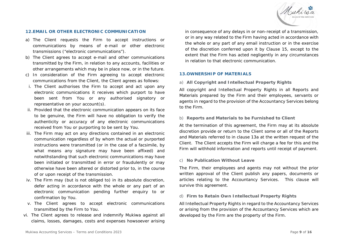#### <span id="page-9-0"></span>**12.EMAIL OR OTHER ELECTRONIC COMMUNICATION**

- a) The Client requests the Firm to accept instructions or communications by means of e-mail or other electronic transmissions ("electronic communications").
- b) The Client agrees to accept e-mail and other communications transmitted by the Firm, in relation to any accounts, facilities or other arrangements which may be in place now, or in the future.
- c) In consideration of the Firm agreeing to accept electronic communications from the Client, the Client agrees as follows:
- i. The Client authorises the Firm to accept and act upon any electronic communications it receives which purport to have been sent from You or any authorised signatory or representative on your account(s).
- ii. Provided that the electronic communication appears on its face to be genuine, the Firm will have no obligation to verify the authenticity or accuracy of any electronic communications received from You or purporting to be sent by You.
- iii. The Firm may act on any directions contained in an electronic communication regardless of by whom the actual or purported instructions were transmitted (or in the case of a facsimile, by what means any signature may have been affixed) and notwithstanding that such electronic communications may have been initiated or transmitted in error or fraudulently or may otherwise have been altered or distorted prior to, in the course of or upon receipt of the transmission.
- iv. The Firm may (but is not obliged to) in its absolute discretion, defer acting in accordance with the whole or any part of an electronic communication pending further enquiry to or confirmation by You.
- v. The Client agrees to accept electronic communications transmitted by the Firm to You.
- vi. The Client agrees to release and indemnify Mukiwa against all claims, losses, damages, costs and expenses howsoever arising

in consequence of any delays in or non-receipt of a transmission, or in any way related to the Firm having acted in accordance with the whole or any part of any email instruction or in the exercise of the discretion conferred upon it by Clause 15, except to the extent that the Firm has acted negligently in any circumstances in relation to that electronic communication.

#### <span id="page-9-1"></span>**13.OWNERSHIP OF MATERIALS**

#### <span id="page-9-2"></span>a) **All Copyright and Intellectual Property Rights**

All copyright and Intellectual Property Rights in all Reports and Materials prepared by the Firm and their employees, servants or agents in regard to the provision of the Accountancy Services belong to the Firm.

#### <span id="page-9-3"></span>b) **Reports and Materials to be Furnished to Client**

At the termination of this agreement, the Firm may at its absolute discretion provide or return to the Client some or all of the Reports and Materials referred to in clause 13a at the written request of the Client. The Client accepts the Firm will charge a fee for this and the Firm will withhold information and reports until receipt of payment.

#### <span id="page-9-4"></span>c) **No Publication Without Leave**

The Firm, their employees and agents may not without the prior written approval of the Client publish any papers, documents or articles relating to the Accountancy Services. This clause will survive this agreement.

#### <span id="page-9-5"></span>d) **Firm to Retain Own Intellectual Property Rights**

All Intellectual Property Rights in regard to the Accountancy Services or arising from the provision of the Accountancy Services which are developed by the Firm are the property of the Firm.

Mukiwa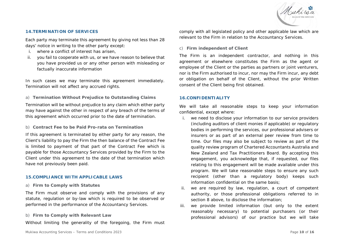## <span id="page-10-0"></span>**14.TERMINATION OF SERVICES**

Each party may terminate this agreement by giving not less than 28 days' notice in writing to the other party except:

- i. where a conflict of interest has arisen,
- ii. you fail to cooperate with us, or we have reason to believe that you have provided us or any other person with misleading or factually inaccurate information

In such cases we may terminate this agreement immediately. Termination will not affect any accrued rights.

<span id="page-10-1"></span>a) **Termination Without Prejudice to Outstanding Claims**

Termination will be without prejudice to any claim which either party may have against the other in respect of any breach of the terms of this agreement which occurred prior to the date of termination.

<span id="page-10-2"></span>b) **Contract Fee to be Paid Pro-rata on Termination**

If this agreement is terminated by either party for any reason, the Client's liability to pay the Firm the then balance of the Contract Fee is limited to payment of that part of the Contract Fee which is payable for those Accountancy Services provided by the Firm to the Client under this agreement to the date of that termination which have not previously been paid.

## <span id="page-10-3"></span>**15.COMPLIANCE WITH APPLICABLE LAWS**

<span id="page-10-4"></span>a) **Firm to Comply with Statutes**

The Firm must observe and comply with the provisions of any statute, regulation or by-law which is required to be observed or performed in the performance of the Accountancy Services.

## <span id="page-10-5"></span>b) **Firm to Comply with Relevant Law**

Without limiting the generality of the foregoing, the Firm must

comply with all legislated policy and other applicable law which are relevant to the Firm in relation to the Accountancy Services.

<span id="page-10-6"></span>c) **Firm independent of Client**

The Firm is an independent contractor, and nothing in this agreement or elsewhere constitutes the Firm as the agent or employee of the Client or the parties as partners or joint venturers, nor is the Firm authorised to incur, nor may the Firm incur, any debt or obligation on behalf of the Client, without the prior Written consent of the Client being first obtained.

## <span id="page-10-7"></span>**16.CONFIDENTIALITY**

We will take all reasonable steps to keep your information confidential, except where:

- i. we need to disclose your information to our service providers (including auditors of client monies if applicable) or regulatory bodies in performing the services, our professional advisers or insurers or as part of an external peer review from time to time. Our files may also be subject to review as part of the quality review program of Chartered Accountants Australia and New Zealand and Tax Practitioners Board. By accepting this engagement, you acknowledge that, if requested, our files relating to this engagement will be made available under this program. We will take reasonable steps to ensure any such recipient (other than a regulatory body) keeps such information confidential on the same basis;
- ii. we are required by law, regulation, a court of competent authority, or those professional obligations referred to in section 8 above, to disclose the information;
- iii. we provide limited information (but only to the extent reasonably necessary) to potential purchasers (or their professional advisors) of our practice but we will take

Mukiwa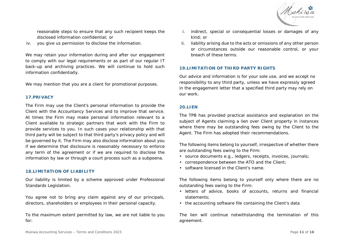

reasonable steps to ensure that any such recipient keeps the disclosed information confidential; or

iv. you give us permission to disclose the information.

We may retain your information during and after our engagement to comply with our legal requirements or as part of our regular IT back-up and archiving practices. We will continue to hold such information confidentially.

<span id="page-11-0"></span>We may mention that you are a client for promotional purposes.

#### **17.PRIVACY**

The Firm may use the Client's personal information to provide the Client with the Accountancy Services and to improve that service. At times the Firm may make personal information relevant to a Client available to strategic partners that work with the Firm to provide services to you. In such cases your relationship with that third party will be subject to that third party's privacy policy and will be governed by it. The Firm may also disclose information about you if we determine that disclosure is reasonably necessary to enforce any term of the agreement or if we are required to disclose the information by law or through a court process such as a subpoena.

#### <span id="page-11-1"></span>**18.LIMITATION OF LIABILITY**

Our liability is limited by a scheme approved under Professional Standards Legislation.

You agree not to bring any claim against any of our principals, directors, shareholders or employees in their personal capacity.

To the maximum extent permitted by law, we are not liable to you for:

- i. indirect, special or consequential losses or damages of any kind; or
- ii. liability arising due to the acts or omissions of any other person or circumstances outside our reasonable control, or your breach of these terms.

## <span id="page-11-2"></span>**19.LIMITATION OF THIRD PARTY RIGHTS**

Our advice and information is for your sole use, and we accept no responsibility to any third party, unless we have expressly agreed in the engagement letter that a specified third party may rely on our work.

#### <span id="page-11-3"></span>**20.LIEN**

The TPB has provided practical assistance and explanation on the subject of Agents claiming a lien over Client property in instances where there may be outstanding fees owing by the Client to the Agent. The Firm has adopted their recommendations.

The following items belong to yourself, irrespective of whether there are outstanding fees owing to the Firm:

- source documents e.g., ledgers, receipts, invoices, journals;
- correspondence between the ATO and the Client;
- software licensed in the Client's name.

The following items belong to yourself only where there are no outstanding fees owing to the Firm:

- letters of advice, books of accounts, returns and financial statements;
- the accounting software file containing the Client's data

The lien will continue notwithstanding the termination of this agreement.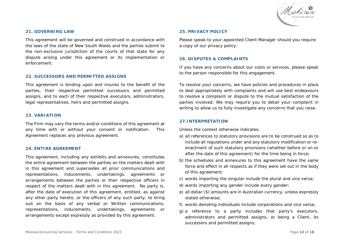#### <span id="page-12-0"></span>**21. GOVERNING LAW**

This agreement will be governed and construed in accordance with the laws of the state of New South Wales and the parties submit to the non-exclusive jurisdiction of the courts of that state for any dispute arising under this agreement or its implementation or enforcement.

#### <span id="page-12-1"></span>**22. SUCCESSORS AND PERMITTED ASSIGNS**

This agreement is binding upon and insures to the benefit of the parties, their respective permitted successors and permitted assigns, and to each of their respective executors, administrators, legal representatives, heirs and permitted assigns.

#### <span id="page-12-2"></span>**23. VARIATION**

The Firm may vary the terms and/or conditions of this agreement at any time with or without your consent or notification. This Agreement replaces any previous agreement.

#### <span id="page-12-3"></span>**24. ENTIRE AGREEMENT**

This agreement, including any exhibits and annexures, constitutes the entire agreement between the parties on the matters dealt with in this agreement and supersedes all prior communications and representations, inducements, undertakings, agreements or arrangements between the parties or their respective officers in respect of the matters dealt with in this agreement. No party is, after the date of execution of this agreement, entitled, as against any other party hereto, or the officers of any such party, to bring suit on the basis of any verbal or Written communications, representations, inducements, undertakings, agreements or arrangements except expressly as provided by this agreement.



#### <span id="page-12-4"></span>**25. PRIVACY POLICY**

Please speak to your appointed Client Manager should you require a copy of our privacy policy.

#### <span id="page-12-5"></span>**26. DISPUTES & COMPLAINTS**

If you have any concerns about our costs or services, please speak to the person responsible for this engagement.

To resolve your concerns, we have policies and procedures in place to deal appropriately with complaints and will use best endeavours to resolve a complaint or dispute to the mutual satisfaction of the parties involved. We may require you to detail your complaint in writing to allow us to fully investigate any concerns that you raise.

#### <span id="page-12-6"></span>**27.INTERPRETATION**

Unless the context otherwise indicates:

- a) all references to statutory provisions are to be construed so as to include all regulations under and any statutory modification or reenactment of such statutory provisions (whether before or on or after the date of this agreement) for the time being in force;
- b) the schedules and annexures to this agreement have the same force and effect in all respects as if they were set out in the body of this agreement;
- c) words importing the singular include the plural and vice versa;
- d) words importing any gender include every gender;
- e) all dollar (\$) amounts are in Australian currency, unless expressly stated otherwise;
- f) words denoting individuals include corporations and vice versa;
- g) a reference to a party includes that party's executors, administrators and permitted assigns, or being a Client, its successors and permitted assigns;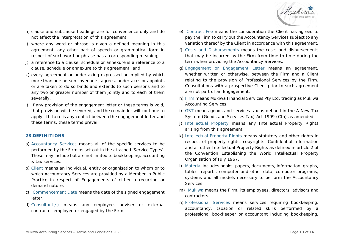- h) clause and subclause headings are for convenience only and do not affect the interpretation of this agreement;
- i) where any word or phrase is given a defined meaning in this agreement, any other part of speech or grammatical form in respect of such word or phrase has a corresponding meaning;
- j) a reference to a clause, schedule or annexure is a reference to a clause, schedule or annexure to this agreement; and
- k) every agreement or undertaking expressed or implied by which more than one person covenants, agrees, undertakes or appoints or are taken to do so binds and extends to such persons and to any two or greater number of them jointly and to each of them severally.
- l) If any provision of the engagement letter or these terms is void, that provision will be severed, and the remainder will continue to apply. If there is any conflict between the engagement letter and these terms, these terms prevail.

#### <span id="page-13-0"></span>**28.DEFINITIONS**

- a) Accountancy Services means all of the specific services to be performed by the Firm as set out in the attached 'Service Types'. These may include but are not limited to bookkeeping, accounting & tax services.
- b) Client means an individual, entity or organisation to whom or to which Accountancy Services are provided by a Member in Public Practice in respect of Engagements of either a recurring or demand nature.
- c) Commencement Date means the date of the signed engagement letter.
- d) Consultant(s) means any employee, adviser or external contractor employed or engaged by the Firm.

e) Contract Fee means the consideration the Client has agreed to pay the Firm to carry out the Accountancy Services subject to any variation thereof by the Client in accordance with this agreement.

Mukin

- f) Costs and Disbursements means the costs and disbursements that may be incurred by the Firm from time to time during the term when providing the Accountancy Services.
- g) Engagement or Engagement Letter means an agreement, whether written or otherwise, between the Firm and a Client relating to the provision of Professional Services by the Firm. Consultations with a prospective Client prior to such agreement are not part of an Engagement.
- h) Firm means Mukiwa Financial Services Pty Ltd, trading as Mukiwa Accounting Services.
- i) GST means goods and services tax as defined in the A New Tax System (Goods and Services Tax) Act 1999 (Cth) as amended.
- j) Intellectual Property means any Intellectual Property Rights arising from this agreement.
- k) Intellectual Property Rights means statutory and other rights in respect of property rights, copyrights, Confidential Information and all other Intellectual Property Rights as defined in article 2 of the Convention Establishing the World Intellectual Property Organisation of July 1967.
- l) Material includes books, papers, documents, information, graphs, tables, reports, computer and other data, computer programs, systems and all models necessary to perform the Accountancy Services.
- m) Mukiwa means the Firm, its employees, directors, advisors and contractors.
- n) Professional Services means services requiring bookkeeping, accountancy, taxation or related skills performed by a professional bookkeeper or accountant including bookkeeping,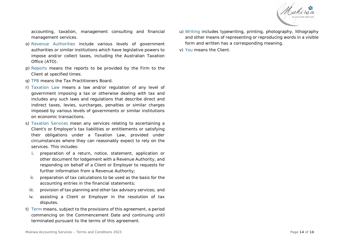accounting, taxation, management consulting and financial management services.

- o) Revenue Authorities include various levels of government authorities or similar institutions which have legislative powers to impose and/or collect taxes, including the Australian Taxation Office (ATO).
- p) Reports means the reports to be provided by the Firm to the Client at specified times.
- q) TPB means the Tax Practitioners Board.
- r) Taxation Law means a law and/or regulation of any level of government imposing a tax or otherwise dealing with tax and includes any such laws and regulations that describe direct and indirect taxes, levies, surcharges, penalties or similar charges imposed by various levels of governments or similar institutions on economic transactions.
- s) Taxation Services mean any services relating to ascertaining a Client's or Employer's tax liabilities or entitlements or satisfying their obligations under a Taxation Law, provided under circumstances where they can reasonably expect to rely on the services. This includes:
	- i. preparation of a return, notice, statement, application or other document for lodgement with a Revenue Authority, and responding on behalf of a Client or Employer to requests for further information from a Revenue Authority;
	- ii. preparation of tax calculations to be used as the basis for the accounting entries in the financial statements;
- iii. provision of tax planning and other tax advisory services; and
- iv. assisting a Client or Employer in the resolution of tax disputes.
- t) Term means, subject to the provisions of this agreement, a period commencing on the Commencement Date and continuing until terminated pursuant to the terms of this agreement.
- u) Writing includes typewriting, printing, photography, lithography and other means of representing or reproducing words in a visible form and written has a corresponding meaning.
- v) You means the Client.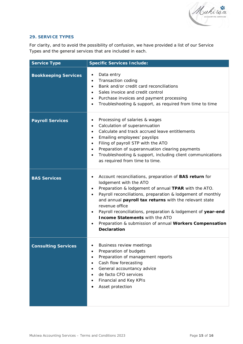

## <span id="page-15-0"></span>**29. SERVICE TYPES**

For clarity, and to avoid the possibility of confusion, we have provided a list of our Service Types and the general services that are included in each.

| <b>Service Type</b>         | <b>Specific Services Include:</b>                                                                                                                                                                                                                                                                                                                                                                                                                                                               |  |  |
|-----------------------------|-------------------------------------------------------------------------------------------------------------------------------------------------------------------------------------------------------------------------------------------------------------------------------------------------------------------------------------------------------------------------------------------------------------------------------------------------------------------------------------------------|--|--|
| <b>Bookkeeping Services</b> | Data entry<br>٠<br>Transaction coding<br>٠<br>Bank and/or credit card reconciliations<br>$\bullet$<br>Sales invoice and credit control<br>$\bullet$<br>Purchase invoices and payment processing<br>$\bullet$<br>Troubleshooting & support, as required from time to time<br>$\bullet$                                                                                                                                                                                                           |  |  |
| <b>Payroll Services</b>     | Processing of salaries & wages<br>$\bullet$<br>Calculation of superannuation<br>$\bullet$<br>Calculate and track accrued leave entitlements<br>$\bullet$<br>Emailing employees' payslips<br>$\bullet$<br>Filing of payroll STP with the ATO<br>$\bullet$<br>Preparation of superannuation clearing payments<br>$\bullet$<br>Troubleshooting & support, including client communications<br>as required from time to time.                                                                        |  |  |
| <b>BAS Services</b>         | Account reconciliations, preparation of BAS return for<br>lodgement with the ATO<br>Preparation & lodgement of annual TPAR with the ATO.<br>٠<br>Payroll reconciliations, preparation & lodgement of monthly<br>$\bullet$<br>and annual payroll tax returns with the relevant state<br>revenue office<br>Payroll reconciliations, preparation & lodgement of year-end<br><b>Income Statements with the ATO</b><br>Preparation & submission of annual Workers Compensation<br><b>Declaration</b> |  |  |
| <b>Consulting Services</b>  | <b>Business review meetings</b><br>Preparation of budgets<br>Preparation of management reports<br>$\bullet$<br>Cash flow forecasting<br>$\bullet$<br>General accountancy advice<br>٠<br>de facto CFO services<br>$\bullet$<br>Financial and Key KPIs<br>Asset protection                                                                                                                                                                                                                        |  |  |